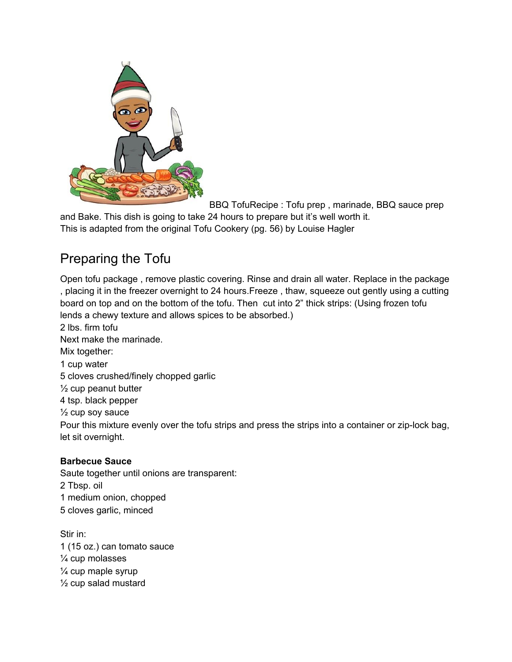

BBQ TofuRecipe : Tofu prep , marinade, BBQ sauce prep

and Bake. This dish is going to take 24 hours to prepare but it's well worth it. This is adapted from the original Tofu Cookery (pg. 56) by Louise Hagler

## Preparing the Tofu

Open tofu package , remove plastic covering. Rinse and drain all water. Replace in the package , placing it in the freezer overnight to 24 hours.Freeze , thaw, squeeze out gently using a cutting board on top and on the bottom of the tofu. Then cut into 2" thick strips: (Using frozen tofu lends a chewy texture and allows spices to be absorbed.)

2 lbs. firm tofu Next make the marinade. Mix together: 1 cup water 5 cloves crushed/finely chopped garlic  $\frac{1}{2}$  cup peanut butter 4 tsp. black pepper  $\frac{1}{2}$  cup soy sauce Pour this mixture evenly over the tofu strips and press the strips into a container or zip-lock bag, let sit overnight.

## **Barbecue Sauce**

Saute together until onions are transparent: 2 Tbsp. oil 1 medium onion, chopped 5 cloves garlic, minced

Stir in: 1 (15 oz.) can tomato sauce ¼ cup molasses ¼ cup maple syrup ½ cup salad mustard